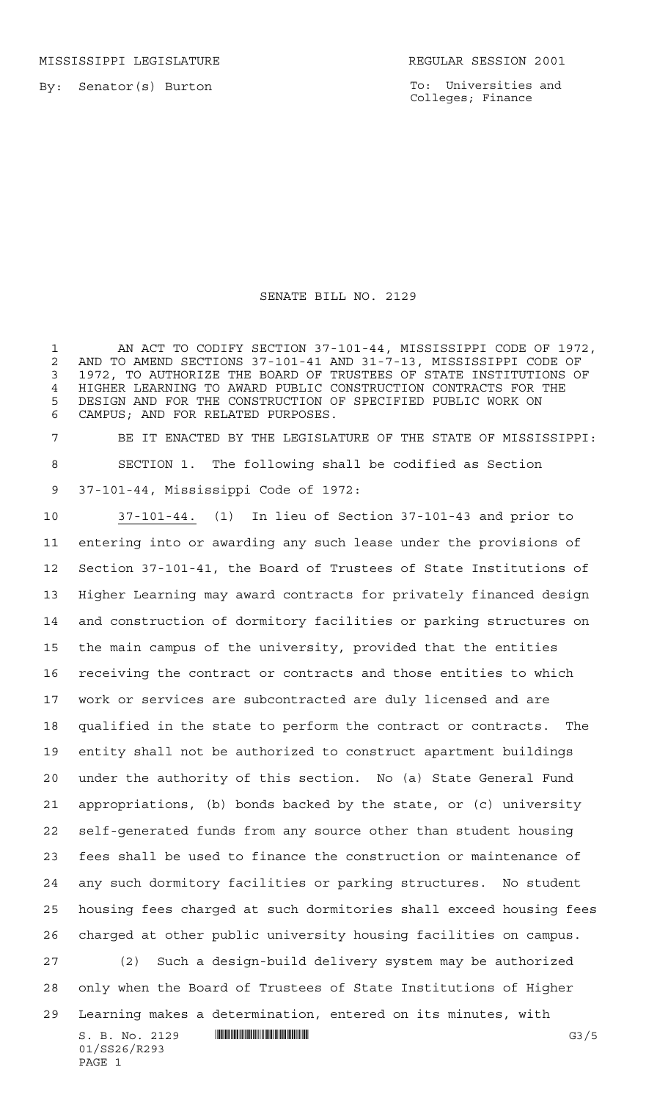MISSISSIPPI LEGISLATURE **REGULAR SESSION 2001** 

By: Senator(s) Burton

PAGE 1

To: Universities and Colleges; Finance

## SENATE BILL NO. 2129

 AN ACT TO CODIFY SECTION 37-101-44, MISSISSIPPI CODE OF 1972, AND TO AMEND SECTIONS 37-101-41 AND 31-7-13, MISSISSIPPI CODE OF 1972, TO AUTHORIZE THE BOARD OF TRUSTEES OF STATE INSTITUTIONS OF HIGHER LEARNING TO AWARD PUBLIC CONSTRUCTION CONTRACTS FOR THE DESIGN AND FOR THE CONSTRUCTION OF SPECIFIED PUBLIC WORK ON CAMPUS; AND FOR RELATED PURPOSES.

 BE IT ENACTED BY THE LEGISLATURE OF THE STATE OF MISSISSIPPI: SECTION 1. The following shall be codified as Section 37-101-44, Mississippi Code of 1972:

S. B. No. 2129 \*SS26/R293\* G3/5 01/SS26/R293 37-101-44. (1) In lieu of Section 37-101-43 and prior to entering into or awarding any such lease under the provisions of Section 37-101-41, the Board of Trustees of State Institutions of Higher Learning may award contracts for privately financed design and construction of dormitory facilities or parking structures on the main campus of the university, provided that the entities receiving the contract or contracts and those entities to which work or services are subcontracted are duly licensed and are qualified in the state to perform the contract or contracts. The entity shall not be authorized to construct apartment buildings under the authority of this section. No (a) State General Fund appropriations, (b) bonds backed by the state, or (c) university self-generated funds from any source other than student housing fees shall be used to finance the construction or maintenance of any such dormitory facilities or parking structures. No student housing fees charged at such dormitories shall exceed housing fees charged at other public university housing facilities on campus. (2) Such a design-build delivery system may be authorized only when the Board of Trustees of State Institutions of Higher Learning makes a determination, entered on its minutes, with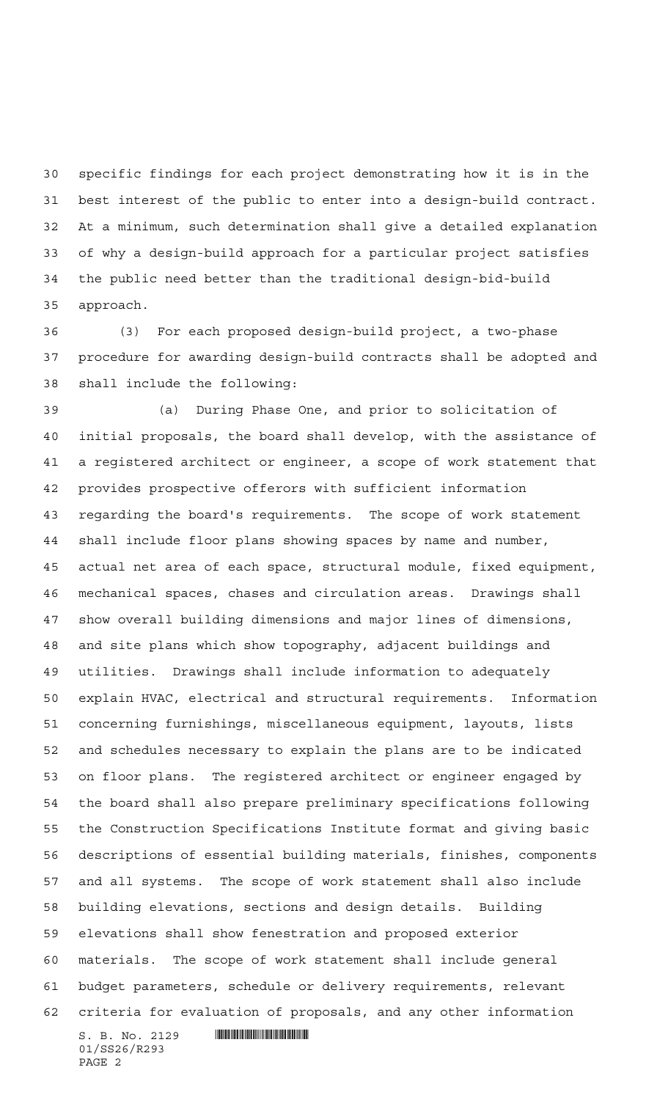specific findings for each project demonstrating how it is in the best interest of the public to enter into a design-build contract. At a minimum, such determination shall give a detailed explanation of why a design-build approach for a particular project satisfies the public need better than the traditional design-bid-build approach.

 (3) For each proposed design-build project, a two-phase procedure for awarding design-build contracts shall be adopted and shall include the following:

 $S. B. No. 2129$  . Suppose the set of  $S. B. N_O. 2129$  (a) During Phase One, and prior to solicitation of initial proposals, the board shall develop, with the assistance of a registered architect or engineer, a scope of work statement that provides prospective offerors with sufficient information regarding the board's requirements. The scope of work statement shall include floor plans showing spaces by name and number, actual net area of each space, structural module, fixed equipment, mechanical spaces, chases and circulation areas. Drawings shall show overall building dimensions and major lines of dimensions, and site plans which show topography, adjacent buildings and utilities. Drawings shall include information to adequately explain HVAC, electrical and structural requirements. Information concerning furnishings, miscellaneous equipment, layouts, lists and schedules necessary to explain the plans are to be indicated on floor plans. The registered architect or engineer engaged by the board shall also prepare preliminary specifications following the Construction Specifications Institute format and giving basic descriptions of essential building materials, finishes, components and all systems. The scope of work statement shall also include building elevations, sections and design details. Building elevations shall show fenestration and proposed exterior materials. The scope of work statement shall include general budget parameters, schedule or delivery requirements, relevant criteria for evaluation of proposals, and any other information

01/SS26/R293 PAGE 2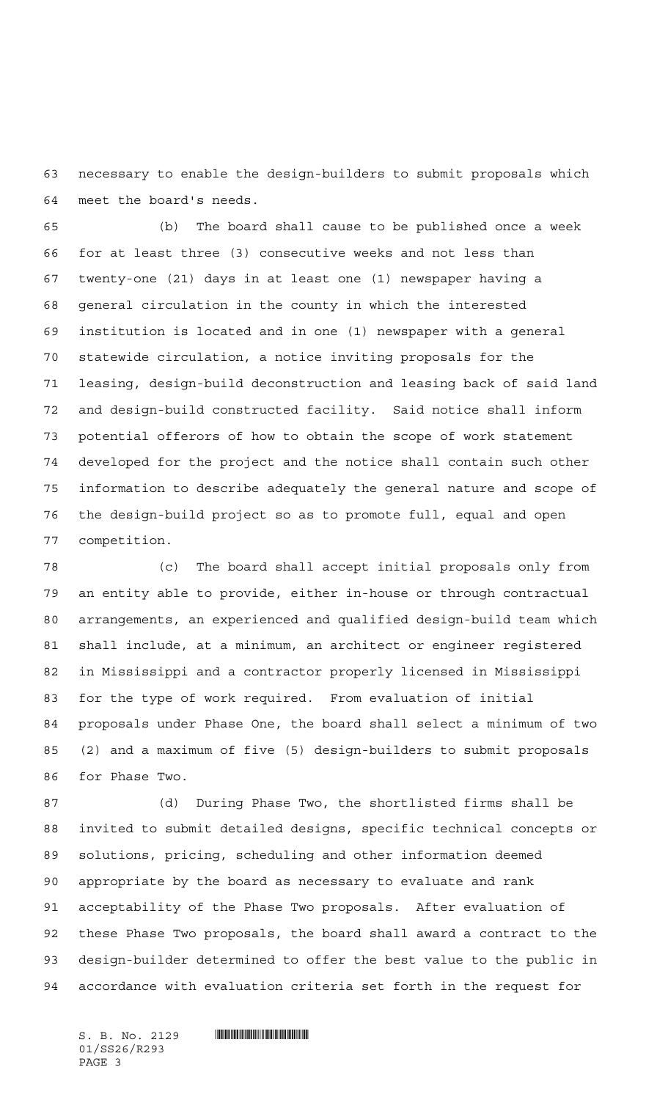necessary to enable the design-builders to submit proposals which meet the board's needs.

 (b) The board shall cause to be published once a week for at least three (3) consecutive weeks and not less than twenty-one (21) days in at least one (1) newspaper having a general circulation in the county in which the interested institution is located and in one (1) newspaper with a general statewide circulation, a notice inviting proposals for the leasing, design-build deconstruction and leasing back of said land and design-build constructed facility. Said notice shall inform potential offerors of how to obtain the scope of work statement developed for the project and the notice shall contain such other information to describe adequately the general nature and scope of the design-build project so as to promote full, equal and open competition.

 (c) The board shall accept initial proposals only from an entity able to provide, either in-house or through contractual arrangements, an experienced and qualified design-build team which shall include, at a minimum, an architect or engineer registered in Mississippi and a contractor properly licensed in Mississippi for the type of work required. From evaluation of initial proposals under Phase One, the board shall select a minimum of two (2) and a maximum of five (5) design-builders to submit proposals for Phase Two.

 (d) During Phase Two, the shortlisted firms shall be invited to submit detailed designs, specific technical concepts or solutions, pricing, scheduling and other information deemed appropriate by the board as necessary to evaluate and rank acceptability of the Phase Two proposals. After evaluation of these Phase Two proposals, the board shall award a contract to the design-builder determined to offer the best value to the public in accordance with evaluation criteria set forth in the request for

01/SS26/R293 PAGE 3

 $S.$  B. No. 2129  $\blacksquare$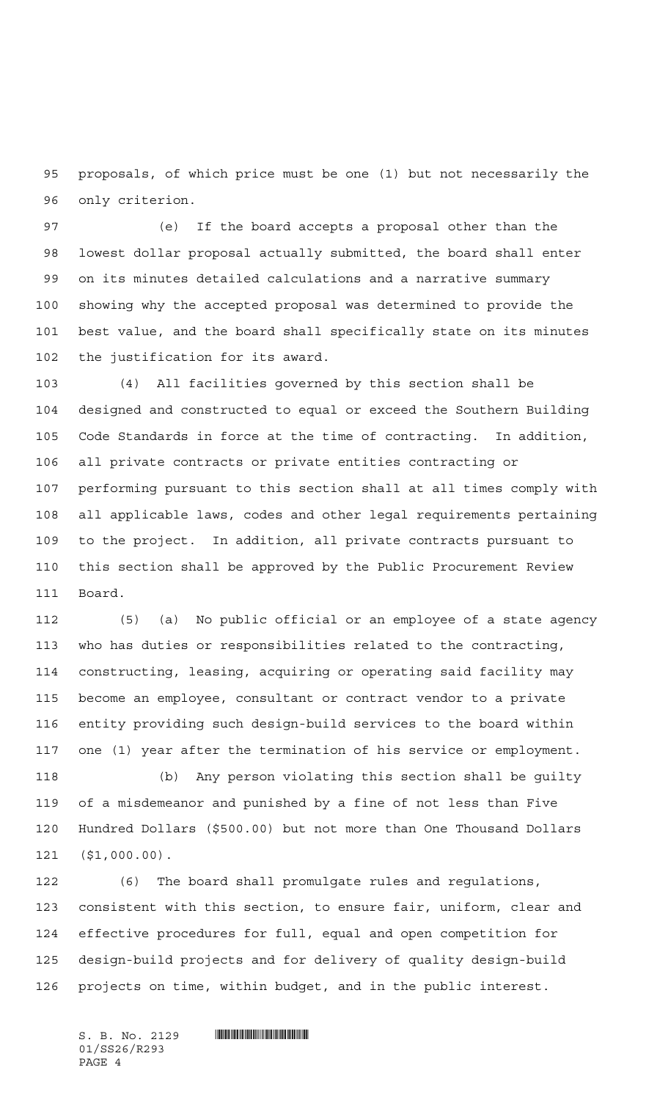proposals, of which price must be one (1) but not necessarily the only criterion.

 (e) If the board accepts a proposal other than the lowest dollar proposal actually submitted, the board shall enter on its minutes detailed calculations and a narrative summary showing why the accepted proposal was determined to provide the best value, and the board shall specifically state on its minutes the justification for its award.

 (4) All facilities governed by this section shall be designed and constructed to equal or exceed the Southern Building Code Standards in force at the time of contracting. In addition, all private contracts or private entities contracting or performing pursuant to this section shall at all times comply with all applicable laws, codes and other legal requirements pertaining to the project. In addition, all private contracts pursuant to this section shall be approved by the Public Procurement Review Board.

 (5) (a) No public official or an employee of a state agency who has duties or responsibilities related to the contracting, constructing, leasing, acquiring or operating said facility may become an employee, consultant or contract vendor to a private entity providing such design-build services to the board within one (1) year after the termination of his service or employment.

 (b) Any person violating this section shall be guilty of a misdemeanor and punished by a fine of not less than Five Hundred Dollars (\$500.00) but not more than One Thousand Dollars (\$1,000.00).

 (6) The board shall promulgate rules and regulations, consistent with this section, to ensure fair, uniform, clear and effective procedures for full, equal and open competition for design-build projects and for delivery of quality design-build projects on time, within budget, and in the public interest.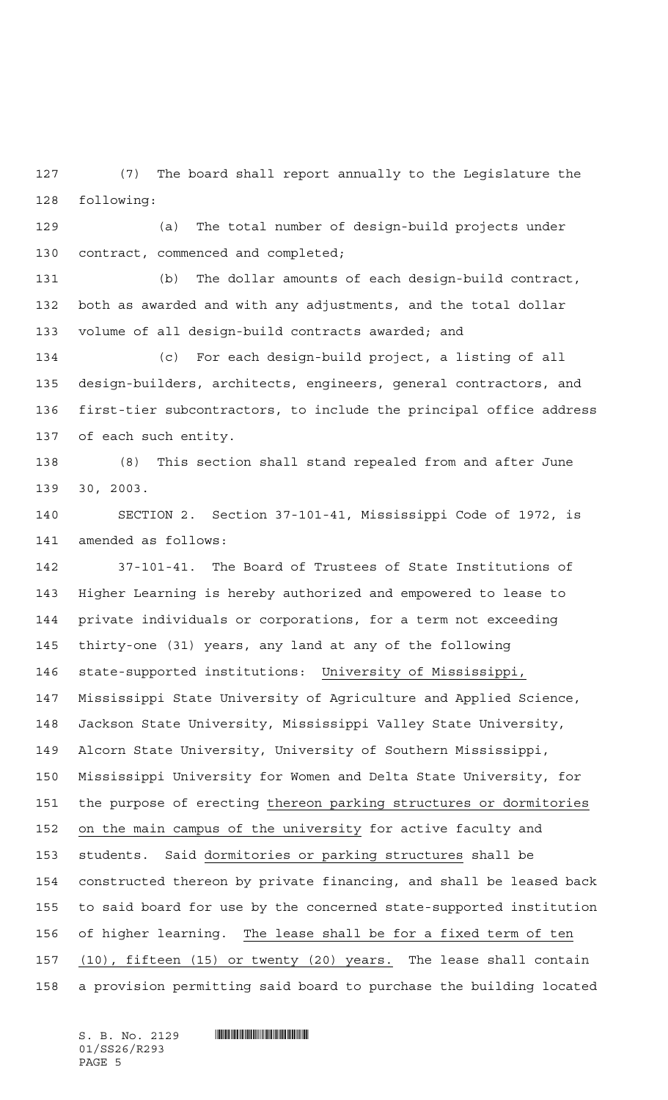(7) The board shall report annually to the Legislature the following:

 (a) The total number of design-build projects under contract, commenced and completed;

 (b) The dollar amounts of each design-build contract, both as awarded and with any adjustments, and the total dollar volume of all design-build contracts awarded; and

 (c) For each design-build project, a listing of all design-builders, architects, engineers, general contractors, and first-tier subcontractors, to include the principal office address of each such entity.

 (8) This section shall stand repealed from and after June 30, 2003.

 SECTION 2. Section 37-101-41, Mississippi Code of 1972, is amended as follows:

 37-101-41. The Board of Trustees of State Institutions of Higher Learning is hereby authorized and empowered to lease to private individuals or corporations, for a term not exceeding thirty-one (31) years, any land at any of the following state-supported institutions: University of Mississippi, Mississippi State University of Agriculture and Applied Science, Jackson State University, Mississippi Valley State University, Alcorn State University, University of Southern Mississippi, Mississippi University for Women and Delta State University, for the purpose of erecting thereon parking structures or dormitories on the main campus of the university for active faculty and students. Said dormitories or parking structures shall be constructed thereon by private financing, and shall be leased back to said board for use by the concerned state-supported institution of higher learning. The lease shall be for a fixed term of ten (10), fifteen (15) or twenty (20) years. The lease shall contain a provision permitting said board to purchase the building located

01/SS26/R293 PAGE 5

 $S. B. No. 2129$  . Suppose the set of  $S. B. N_O. 2129$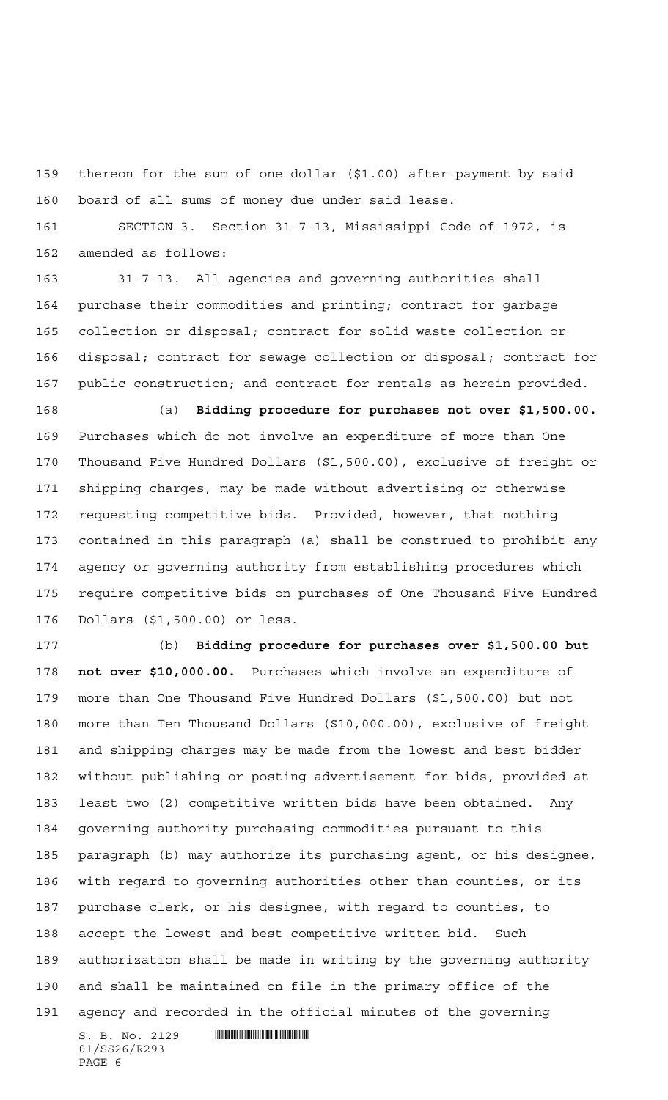thereon for the sum of one dollar (\$1.00) after payment by said board of all sums of money due under said lease.

 SECTION 3. Section 31-7-13, Mississippi Code of 1972, is amended as follows:

 31-7-13. All agencies and governing authorities shall purchase their commodities and printing; contract for garbage collection or disposal; contract for solid waste collection or disposal; contract for sewage collection or disposal; contract for public construction; and contract for rentals as herein provided.

 (a) **Bidding procedure for purchases not over \$1,500.00.** Purchases which do not involve an expenditure of more than One Thousand Five Hundred Dollars (\$1,500.00), exclusive of freight or shipping charges, may be made without advertising or otherwise requesting competitive bids. Provided, however, that nothing contained in this paragraph (a) shall be construed to prohibit any agency or governing authority from establishing procedures which require competitive bids on purchases of One Thousand Five Hundred Dollars (\$1,500.00) or less.

 (b) **Bidding procedure for purchases over \$1,500.00 but not over \$10,000.00.** Purchases which involve an expenditure of more than One Thousand Five Hundred Dollars (\$1,500.00) but not more than Ten Thousand Dollars (\$10,000.00), exclusive of freight and shipping charges may be made from the lowest and best bidder without publishing or posting advertisement for bids, provided at least two (2) competitive written bids have been obtained. Any governing authority purchasing commodities pursuant to this paragraph (b) may authorize its purchasing agent, or his designee, with regard to governing authorities other than counties, or its purchase clerk, or his designee, with regard to counties, to accept the lowest and best competitive written bid. Such authorization shall be made in writing by the governing authority and shall be maintained on file in the primary office of the agency and recorded in the official minutes of the governing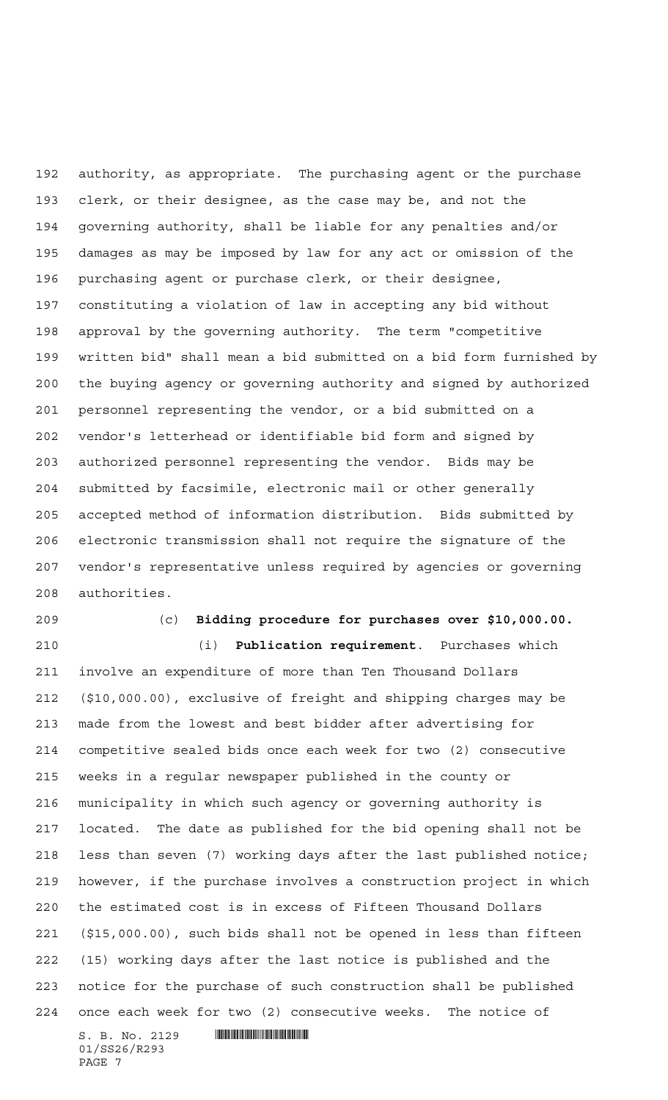authority, as appropriate. The purchasing agent or the purchase clerk, or their designee, as the case may be, and not the governing authority, shall be liable for any penalties and/or damages as may be imposed by law for any act or omission of the purchasing agent or purchase clerk, or their designee, constituting a violation of law in accepting any bid without approval by the governing authority. The term "competitive written bid" shall mean a bid submitted on a bid form furnished by the buying agency or governing authority and signed by authorized personnel representing the vendor, or a bid submitted on a vendor's letterhead or identifiable bid form and signed by authorized personnel representing the vendor. Bids may be submitted by facsimile, electronic mail or other generally accepted method of information distribution. Bids submitted by electronic transmission shall not require the signature of the vendor's representative unless required by agencies or governing authorities.

## (c) **Bidding procedure for purchases over \$10,000.00.**

 (i) **Publication requirement**. Purchases which involve an expenditure of more than Ten Thousand Dollars (\$10,000.00), exclusive of freight and shipping charges may be made from the lowest and best bidder after advertising for competitive sealed bids once each week for two (2) consecutive weeks in a regular newspaper published in the county or municipality in which such agency or governing authority is located. The date as published for the bid opening shall not be less than seven (7) working days after the last published notice; however, if the purchase involves a construction project in which the estimated cost is in excess of Fifteen Thousand Dollars (\$15,000.00), such bids shall not be opened in less than fifteen (15) working days after the last notice is published and the notice for the purchase of such construction shall be published once each week for two (2) consecutive weeks. The notice of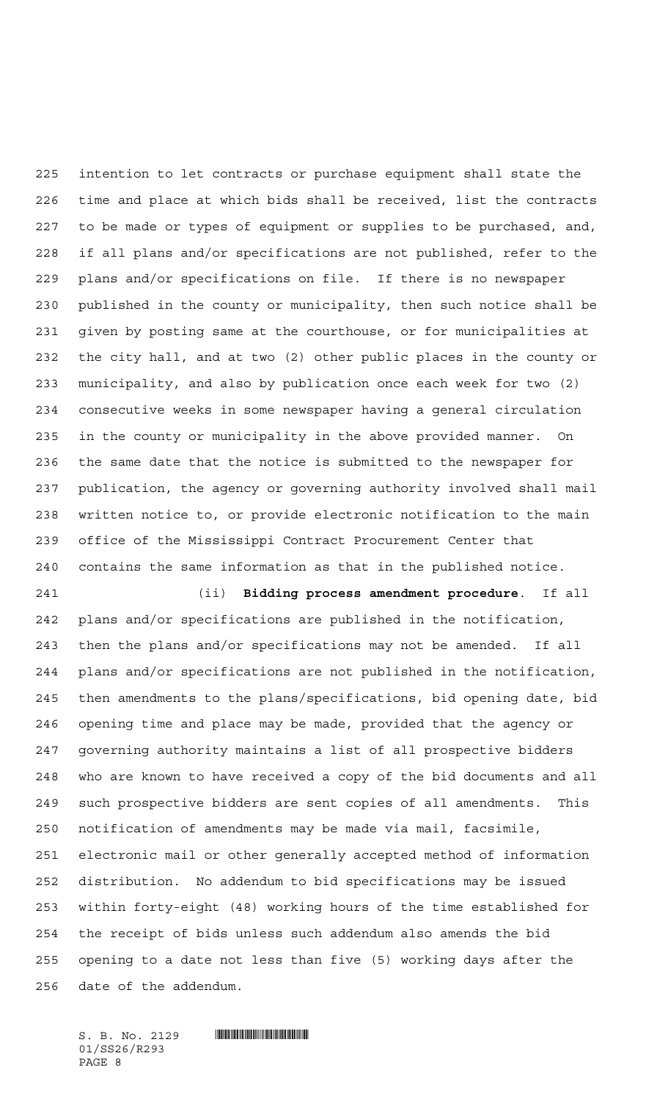intention to let contracts or purchase equipment shall state the time and place at which bids shall be received, list the contracts to be made or types of equipment or supplies to be purchased, and, if all plans and/or specifications are not published, refer to the plans and/or specifications on file. If there is no newspaper published in the county or municipality, then such notice shall be given by posting same at the courthouse, or for municipalities at the city hall, and at two (2) other public places in the county or municipality, and also by publication once each week for two (2) consecutive weeks in some newspaper having a general circulation in the county or municipality in the above provided manner. On the same date that the notice is submitted to the newspaper for publication, the agency or governing authority involved shall mail written notice to, or provide electronic notification to the main office of the Mississippi Contract Procurement Center that contains the same information as that in the published notice.

 (ii) **Bidding process amendment procedure**. If all plans and/or specifications are published in the notification, then the plans and/or specifications may not be amended. If all plans and/or specifications are not published in the notification, then amendments to the plans/specifications, bid opening date, bid opening time and place may be made, provided that the agency or governing authority maintains a list of all prospective bidders who are known to have received a copy of the bid documents and all such prospective bidders are sent copies of all amendments. This notification of amendments may be made via mail, facsimile, electronic mail or other generally accepted method of information distribution. No addendum to bid specifications may be issued within forty-eight (48) working hours of the time established for the receipt of bids unless such addendum also amends the bid opening to a date not less than five (5) working days after the date of the addendum.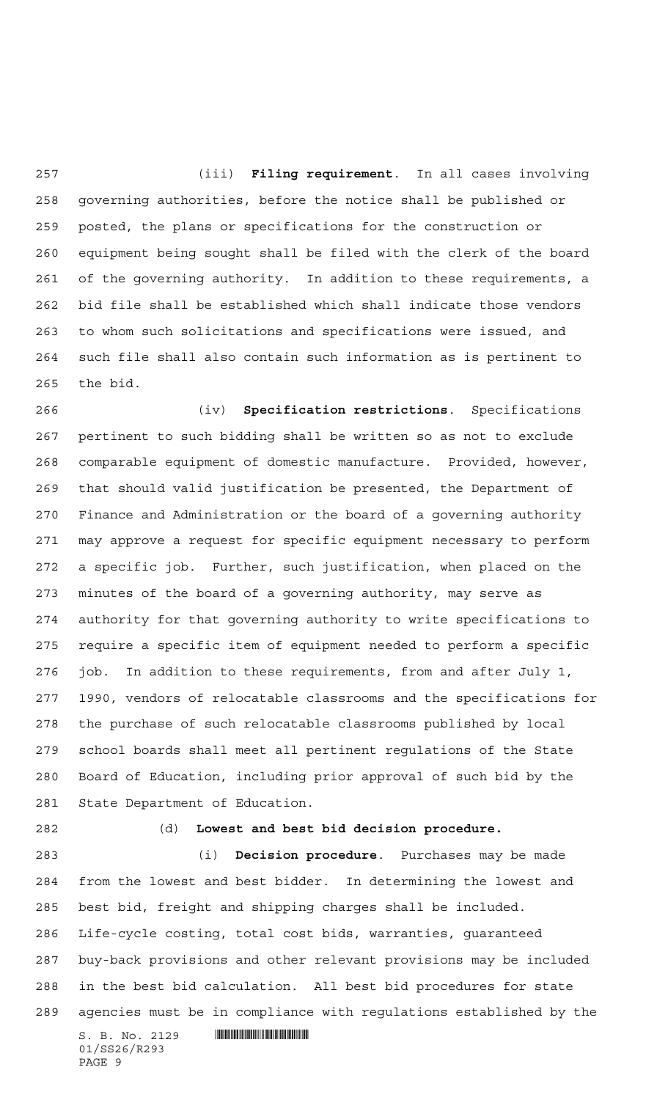(iii) **Filing requirement**. In all cases involving governing authorities, before the notice shall be published or posted, the plans or specifications for the construction or equipment being sought shall be filed with the clerk of the board of the governing authority. In addition to these requirements, a bid file shall be established which shall indicate those vendors to whom such solicitations and specifications were issued, and such file shall also contain such information as is pertinent to the bid.

 (iv) **Specification restrictions**. Specifications pertinent to such bidding shall be written so as not to exclude comparable equipment of domestic manufacture. Provided, however, that should valid justification be presented, the Department of Finance and Administration or the board of a governing authority may approve a request for specific equipment necessary to perform a specific job. Further, such justification, when placed on the minutes of the board of a governing authority, may serve as authority for that governing authority to write specifications to require a specific item of equipment needed to perform a specific job. In addition to these requirements, from and after July 1, 1990, vendors of relocatable classrooms and the specifications for the purchase of such relocatable classrooms published by local school boards shall meet all pertinent regulations of the State Board of Education, including prior approval of such bid by the State Department of Education.

## (d) **Lowest and best bid decision procedure.**

 $S. B. No. 2129$  . Suppose the set of  $S. B. N_O. 2129$  (i) **Decision procedure**. Purchases may be made from the lowest and best bidder. In determining the lowest and best bid, freight and shipping charges shall be included. Life-cycle costing, total cost bids, warranties, guaranteed buy-back provisions and other relevant provisions may be included in the best bid calculation. All best bid procedures for state agencies must be in compliance with regulations established by the

01/SS26/R293 PAGE 9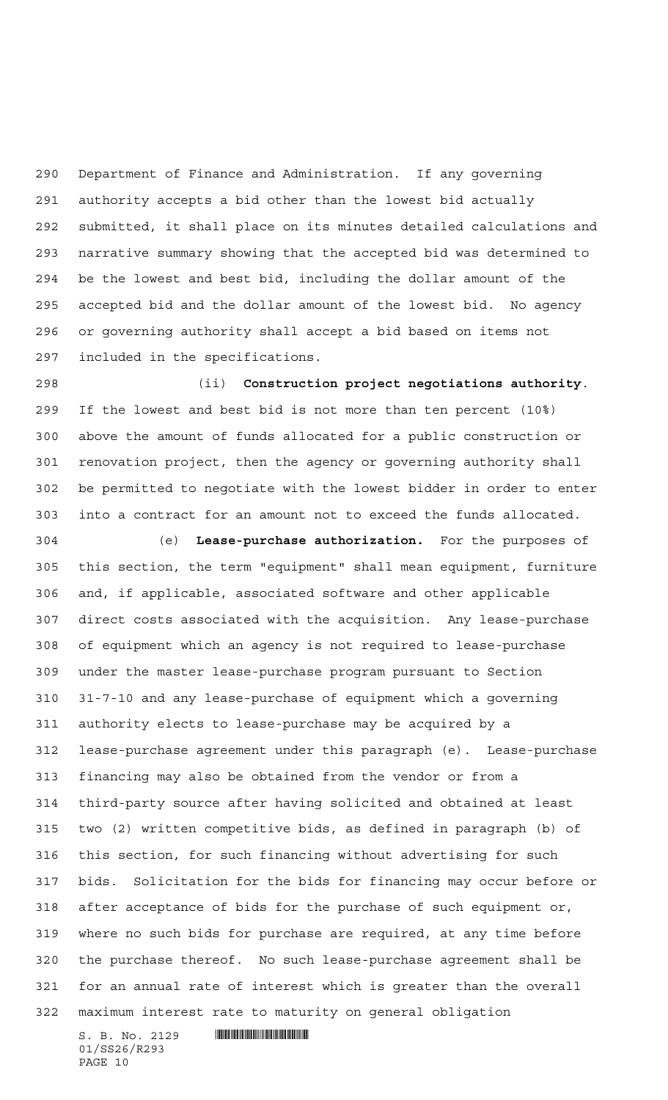Department of Finance and Administration. If any governing authority accepts a bid other than the lowest bid actually submitted, it shall place on its minutes detailed calculations and narrative summary showing that the accepted bid was determined to be the lowest and best bid, including the dollar amount of the accepted bid and the dollar amount of the lowest bid. No agency or governing authority shall accept a bid based on items not included in the specifications.

 (ii) **Construction project negotiations authority**. If the lowest and best bid is not more than ten percent (10%) above the amount of funds allocated for a public construction or renovation project, then the agency or governing authority shall be permitted to negotiate with the lowest bidder in order to enter into a contract for an amount not to exceed the funds allocated.

 (e) **Lease-purchase authorization.** For the purposes of this section, the term "equipment" shall mean equipment, furniture and, if applicable, associated software and other applicable direct costs associated with the acquisition. Any lease-purchase of equipment which an agency is not required to lease-purchase under the master lease-purchase program pursuant to Section 31-7-10 and any lease-purchase of equipment which a governing authority elects to lease-purchase may be acquired by a lease-purchase agreement under this paragraph (e). Lease-purchase financing may also be obtained from the vendor or from a third-party source after having solicited and obtained at least two (2) written competitive bids, as defined in paragraph (b) of this section, for such financing without advertising for such bids. Solicitation for the bids for financing may occur before or after acceptance of bids for the purchase of such equipment or, where no such bids for purchase are required, at any time before the purchase thereof. No such lease-purchase agreement shall be for an annual rate of interest which is greater than the overall maximum interest rate to maturity on general obligation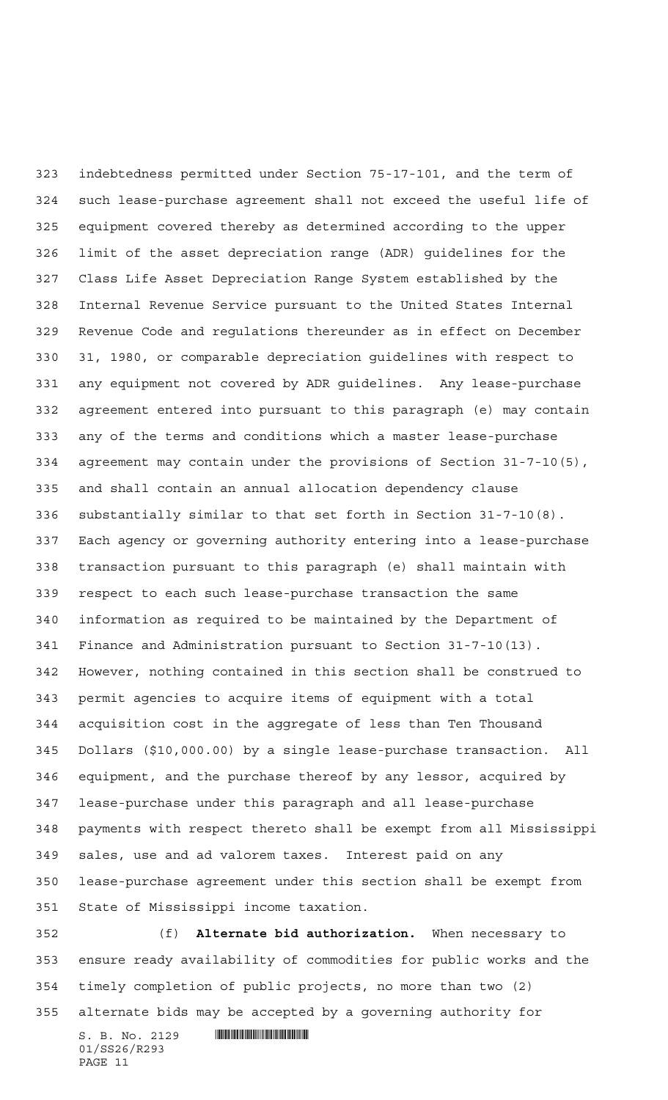indebtedness permitted under Section 75-17-101, and the term of such lease-purchase agreement shall not exceed the useful life of equipment covered thereby as determined according to the upper limit of the asset depreciation range (ADR) guidelines for the Class Life Asset Depreciation Range System established by the Internal Revenue Service pursuant to the United States Internal Revenue Code and regulations thereunder as in effect on December 31, 1980, or comparable depreciation guidelines with respect to any equipment not covered by ADR guidelines. Any lease-purchase agreement entered into pursuant to this paragraph (e) may contain any of the terms and conditions which a master lease-purchase agreement may contain under the provisions of Section 31-7-10(5), and shall contain an annual allocation dependency clause substantially similar to that set forth in Section 31-7-10(8). Each agency or governing authority entering into a lease-purchase transaction pursuant to this paragraph (e) shall maintain with respect to each such lease-purchase transaction the same information as required to be maintained by the Department of Finance and Administration pursuant to Section 31-7-10(13). However, nothing contained in this section shall be construed to permit agencies to acquire items of equipment with a total acquisition cost in the aggregate of less than Ten Thousand Dollars (\$10,000.00) by a single lease-purchase transaction. All equipment, and the purchase thereof by any lessor, acquired by lease-purchase under this paragraph and all lease-purchase payments with respect thereto shall be exempt from all Mississippi sales, use and ad valorem taxes. Interest paid on any lease-purchase agreement under this section shall be exempt from State of Mississippi income taxation.

 (f) **Alternate bid authorization.** When necessary to ensure ready availability of commodities for public works and the timely completion of public projects, no more than two (2) alternate bids may be accepted by a governing authority for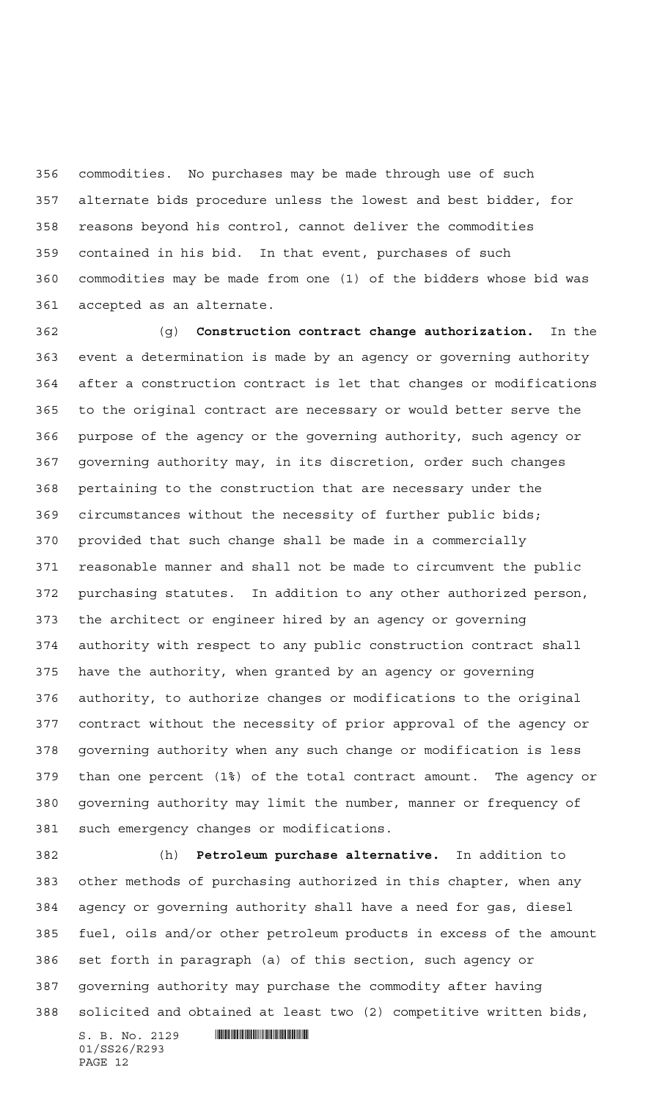commodities. No purchases may be made through use of such alternate bids procedure unless the lowest and best bidder, for reasons beyond his control, cannot deliver the commodities contained in his bid. In that event, purchases of such commodities may be made from one (1) of the bidders whose bid was accepted as an alternate.

 (g) **Construction contract change authorization.** In the event a determination is made by an agency or governing authority after a construction contract is let that changes or modifications to the original contract are necessary or would better serve the purpose of the agency or the governing authority, such agency or governing authority may, in its discretion, order such changes pertaining to the construction that are necessary under the circumstances without the necessity of further public bids; provided that such change shall be made in a commercially reasonable manner and shall not be made to circumvent the public purchasing statutes. In addition to any other authorized person, the architect or engineer hired by an agency or governing authority with respect to any public construction contract shall have the authority, when granted by an agency or governing authority, to authorize changes or modifications to the original contract without the necessity of prior approval of the agency or governing authority when any such change or modification is less than one percent (1%) of the total contract amount. The agency or governing authority may limit the number, manner or frequency of such emergency changes or modifications.

 (h) **Petroleum purchase alternative.** In addition to other methods of purchasing authorized in this chapter, when any agency or governing authority shall have a need for gas, diesel fuel, oils and/or other petroleum products in excess of the amount set forth in paragraph (a) of this section, such agency or governing authority may purchase the commodity after having solicited and obtained at least two (2) competitive written bids,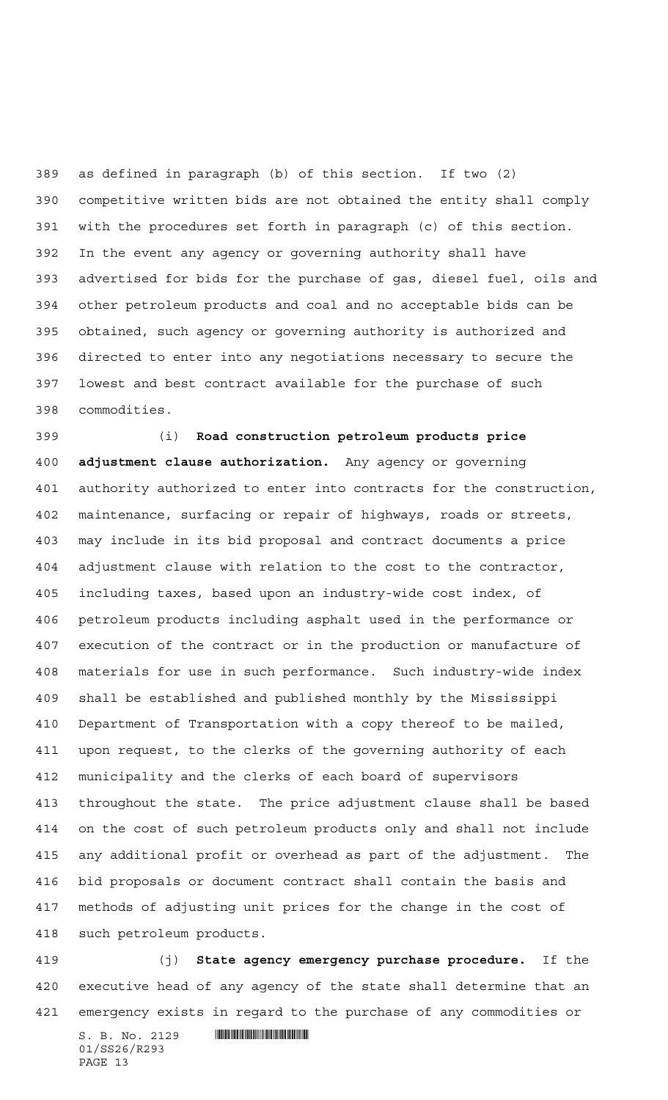as defined in paragraph (b) of this section. If two (2) competitive written bids are not obtained the entity shall comply with the procedures set forth in paragraph (c) of this section. In the event any agency or governing authority shall have advertised for bids for the purchase of gas, diesel fuel, oils and other petroleum products and coal and no acceptable bids can be obtained, such agency or governing authority is authorized and directed to enter into any negotiations necessary to secure the lowest and best contract available for the purchase of such commodities.

 (i) **Road construction petroleum products price adjustment clause authorization.** Any agency or governing authority authorized to enter into contracts for the construction, maintenance, surfacing or repair of highways, roads or streets, may include in its bid proposal and contract documents a price adjustment clause with relation to the cost to the contractor, including taxes, based upon an industry-wide cost index, of petroleum products including asphalt used in the performance or execution of the contract or in the production or manufacture of materials for use in such performance. Such industry-wide index shall be established and published monthly by the Mississippi Department of Transportation with a copy thereof to be mailed, upon request, to the clerks of the governing authority of each municipality and the clerks of each board of supervisors throughout the state. The price adjustment clause shall be based on the cost of such petroleum products only and shall not include any additional profit or overhead as part of the adjustment. The bid proposals or document contract shall contain the basis and methods of adjusting unit prices for the change in the cost of such petroleum products.

 (j) **State agency emergency purchase procedure.** If the executive head of any agency of the state shall determine that an emergency exists in regard to the purchase of any commodities or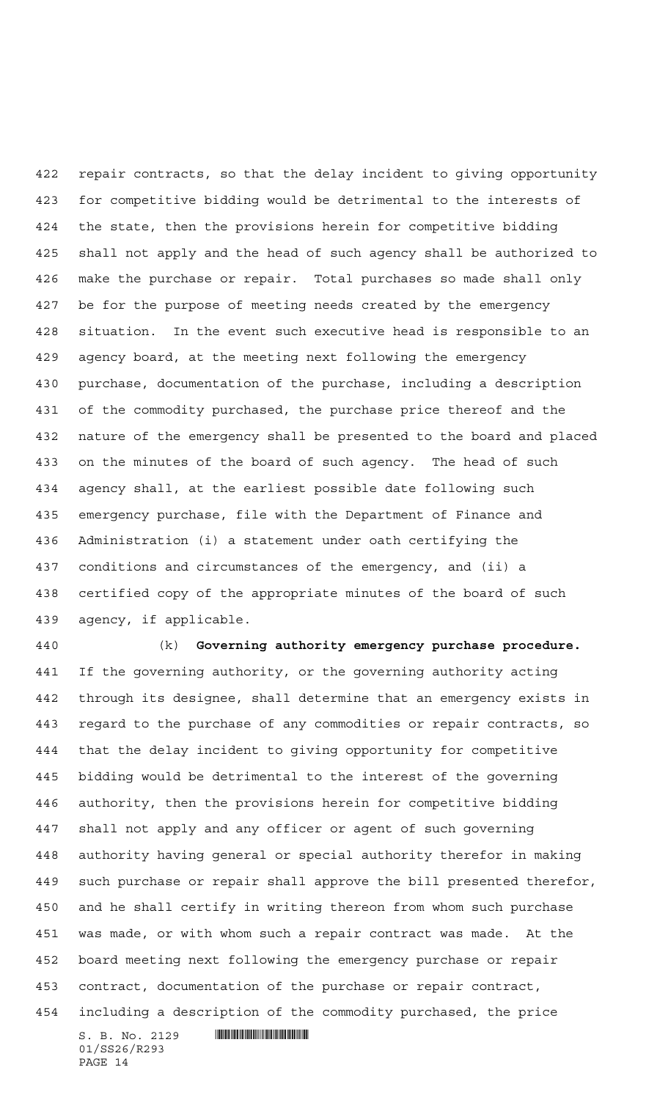repair contracts, so that the delay incident to giving opportunity for competitive bidding would be detrimental to the interests of the state, then the provisions herein for competitive bidding shall not apply and the head of such agency shall be authorized to make the purchase or repair. Total purchases so made shall only be for the purpose of meeting needs created by the emergency situation. In the event such executive head is responsible to an agency board, at the meeting next following the emergency purchase, documentation of the purchase, including a description of the commodity purchased, the purchase price thereof and the nature of the emergency shall be presented to the board and placed on the minutes of the board of such agency. The head of such agency shall, at the earliest possible date following such emergency purchase, file with the Department of Finance and Administration (i) a statement under oath certifying the conditions and circumstances of the emergency, and (ii) a certified copy of the appropriate minutes of the board of such agency, if applicable.

 (k) **Governing authority emergency purchase procedure.** If the governing authority, or the governing authority acting through its designee, shall determine that an emergency exists in regard to the purchase of any commodities or repair contracts, so that the delay incident to giving opportunity for competitive bidding would be detrimental to the interest of the governing authority, then the provisions herein for competitive bidding shall not apply and any officer or agent of such governing authority having general or special authority therefor in making such purchase or repair shall approve the bill presented therefor, and he shall certify in writing thereon from whom such purchase was made, or with whom such a repair contract was made. At the board meeting next following the emergency purchase or repair contract, documentation of the purchase or repair contract, including a description of the commodity purchased, the price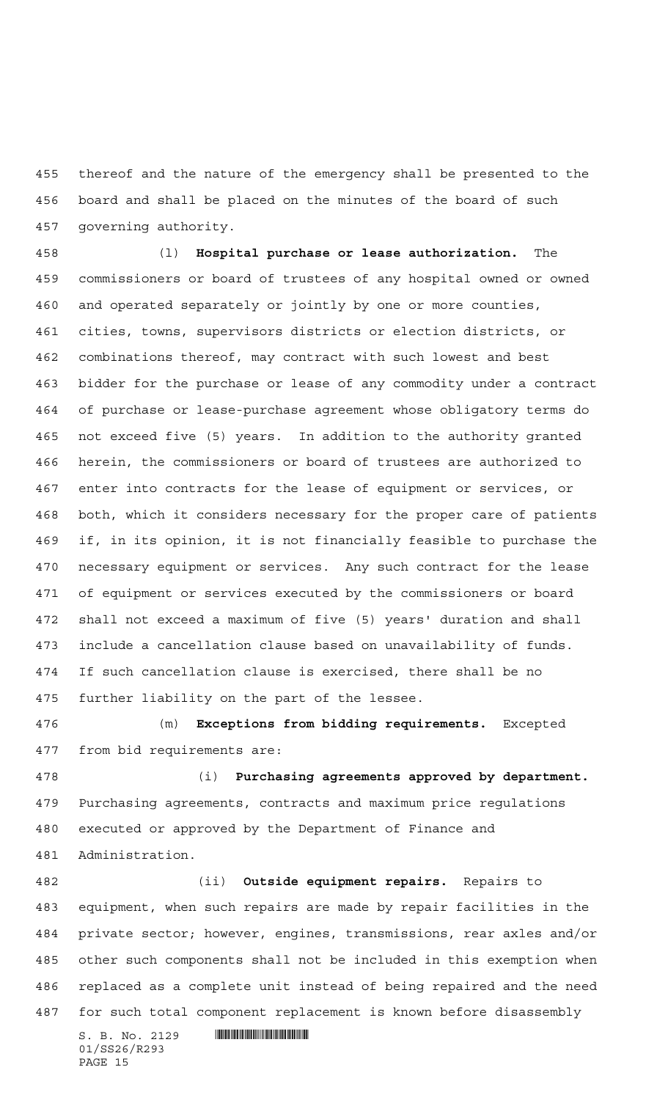thereof and the nature of the emergency shall be presented to the board and shall be placed on the minutes of the board of such governing authority.

 (l) **Hospital purchase or lease authorization.** The commissioners or board of trustees of any hospital owned or owned and operated separately or jointly by one or more counties, cities, towns, supervisors districts or election districts, or combinations thereof, may contract with such lowest and best bidder for the purchase or lease of any commodity under a contract of purchase or lease-purchase agreement whose obligatory terms do not exceed five (5) years. In addition to the authority granted herein, the commissioners or board of trustees are authorized to enter into contracts for the lease of equipment or services, or both, which it considers necessary for the proper care of patients if, in its opinion, it is not financially feasible to purchase the necessary equipment or services. Any such contract for the lease of equipment or services executed by the commissioners or board shall not exceed a maximum of five (5) years' duration and shall include a cancellation clause based on unavailability of funds. If such cancellation clause is exercised, there shall be no further liability on the part of the lessee.

 (m) **Exceptions from bidding requirements.** Excepted from bid requirements are:

 (i) **Purchasing agreements approved by department.** Purchasing agreements, contracts and maximum price regulations executed or approved by the Department of Finance and Administration.

 (ii) **Outside equipment repairs.** Repairs to equipment, when such repairs are made by repair facilities in the private sector; however, engines, transmissions, rear axles and/or other such components shall not be included in this exemption when replaced as a complete unit instead of being repaired and the need for such total component replacement is known before disassembly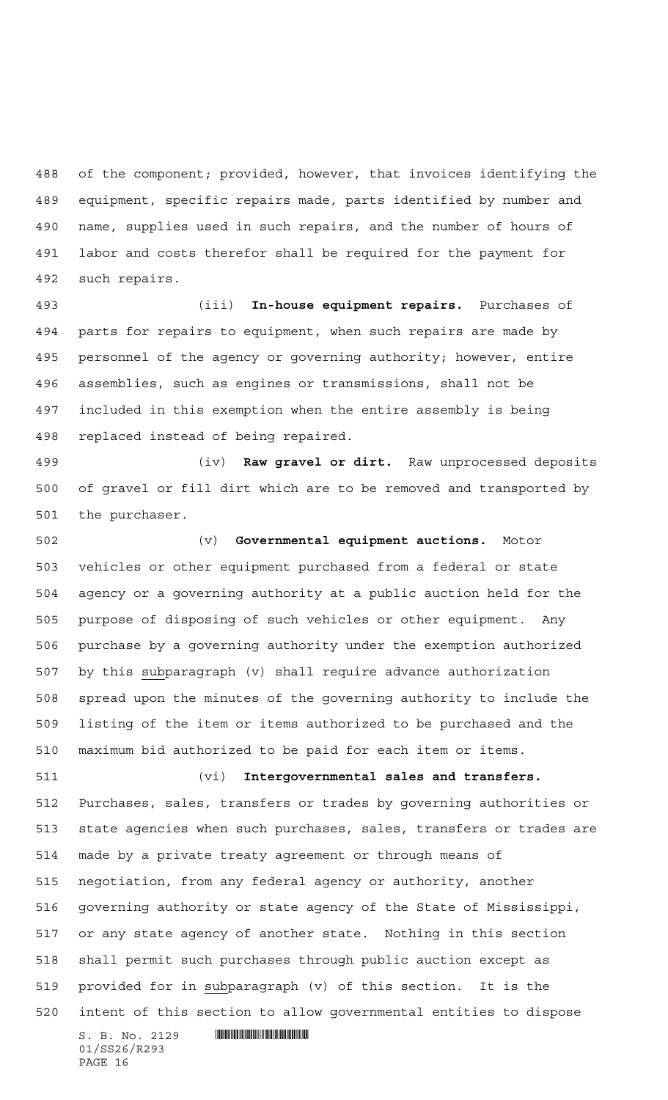of the component; provided, however, that invoices identifying the equipment, specific repairs made, parts identified by number and name, supplies used in such repairs, and the number of hours of labor and costs therefor shall be required for the payment for such repairs.

 (iii) **In-house equipment repairs.** Purchases of parts for repairs to equipment, when such repairs are made by personnel of the agency or governing authority; however, entire assemblies, such as engines or transmissions, shall not be included in this exemption when the entire assembly is being replaced instead of being repaired.

 (iv) **Raw gravel or dirt.** Raw unprocessed deposits of gravel or fill dirt which are to be removed and transported by the purchaser.

 (v) **Governmental equipment auctions.** Motor vehicles or other equipment purchased from a federal or state agency or a governing authority at a public auction held for the purpose of disposing of such vehicles or other equipment. Any purchase by a governing authority under the exemption authorized by this subparagraph (v) shall require advance authorization spread upon the minutes of the governing authority to include the listing of the item or items authorized to be purchased and the maximum bid authorized to be paid for each item or items.

 (vi) **Intergovernmental sales and transfers.** Purchases, sales, transfers or trades by governing authorities or state agencies when such purchases, sales, transfers or trades are made by a private treaty agreement or through means of negotiation, from any federal agency or authority, another governing authority or state agency of the State of Mississippi, or any state agency of another state. Nothing in this section shall permit such purchases through public auction except as provided for in subparagraph (v) of this section. It is the intent of this section to allow governmental entities to dispose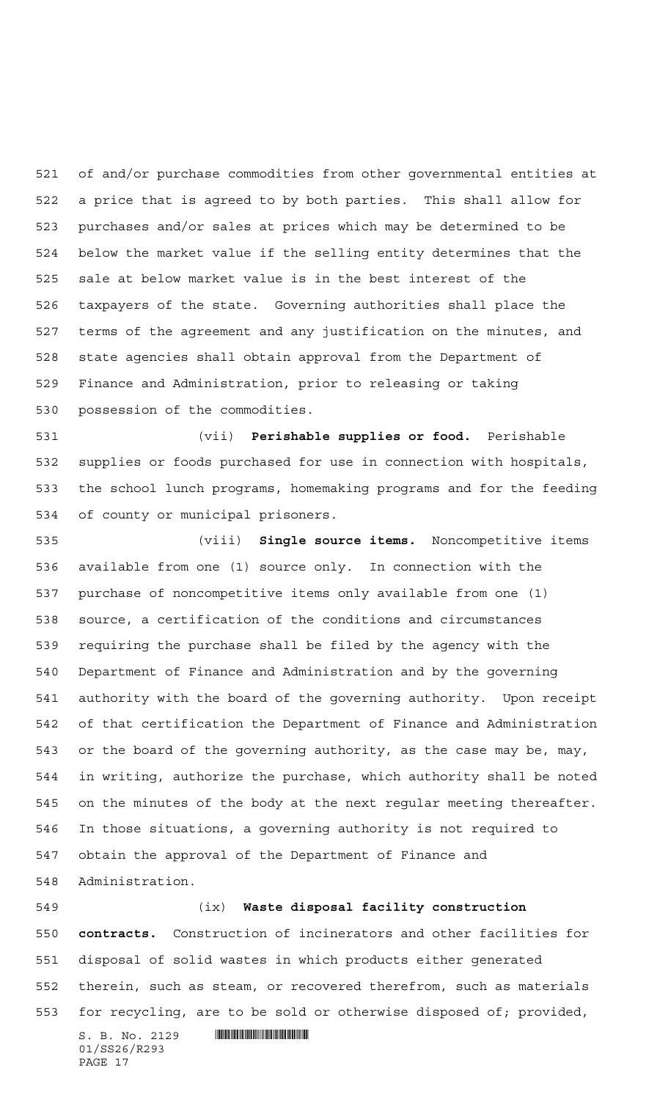of and/or purchase commodities from other governmental entities at a price that is agreed to by both parties. This shall allow for purchases and/or sales at prices which may be determined to be below the market value if the selling entity determines that the sale at below market value is in the best interest of the taxpayers of the state. Governing authorities shall place the terms of the agreement and any justification on the minutes, and state agencies shall obtain approval from the Department of Finance and Administration, prior to releasing or taking possession of the commodities.

 (vii) **Perishable supplies or food.** Perishable supplies or foods purchased for use in connection with hospitals, the school lunch programs, homemaking programs and for the feeding of county or municipal prisoners.

 (viii) **Single source items.** Noncompetitive items available from one (1) source only. In connection with the purchase of noncompetitive items only available from one (1) source, a certification of the conditions and circumstances requiring the purchase shall be filed by the agency with the Department of Finance and Administration and by the governing authority with the board of the governing authority. Upon receipt of that certification the Department of Finance and Administration or the board of the governing authority, as the case may be, may, in writing, authorize the purchase, which authority shall be noted on the minutes of the body at the next regular meeting thereafter. In those situations, a governing authority is not required to obtain the approval of the Department of Finance and Administration.

 (ix) **Waste disposal facility construction contracts.** Construction of incinerators and other facilities for disposal of solid wastes in which products either generated therein, such as steam, or recovered therefrom, such as materials for recycling, are to be sold or otherwise disposed of; provided,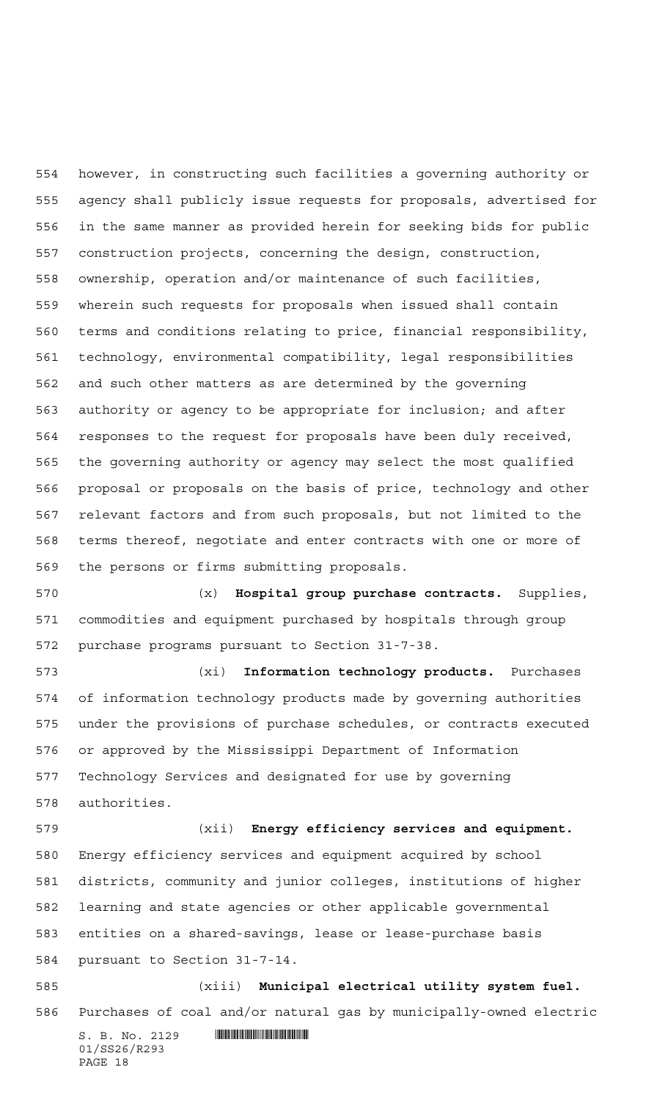however, in constructing such facilities a governing authority or agency shall publicly issue requests for proposals, advertised for in the same manner as provided herein for seeking bids for public construction projects, concerning the design, construction, ownership, operation and/or maintenance of such facilities, wherein such requests for proposals when issued shall contain terms and conditions relating to price, financial responsibility, technology, environmental compatibility, legal responsibilities and such other matters as are determined by the governing authority or agency to be appropriate for inclusion; and after responses to the request for proposals have been duly received, the governing authority or agency may select the most qualified proposal or proposals on the basis of price, technology and other relevant factors and from such proposals, but not limited to the terms thereof, negotiate and enter contracts with one or more of the persons or firms submitting proposals.

 (x) **Hospital group purchase contracts.** Supplies, commodities and equipment purchased by hospitals through group purchase programs pursuant to Section 31-7-38.

 (xi) **Information technology products.** Purchases of information technology products made by governing authorities under the provisions of purchase schedules, or contracts executed or approved by the Mississippi Department of Information Technology Services and designated for use by governing authorities.

 (xii) **Energy efficiency services and equipment.** Energy efficiency services and equipment acquired by school districts, community and junior colleges, institutions of higher learning and state agencies or other applicable governmental entities on a shared-savings, lease or lease-purchase basis pursuant to Section 31-7-14. (xiii) **Municipal electrical utility system fuel.**

Purchases of coal and/or natural gas by municipally-owned electric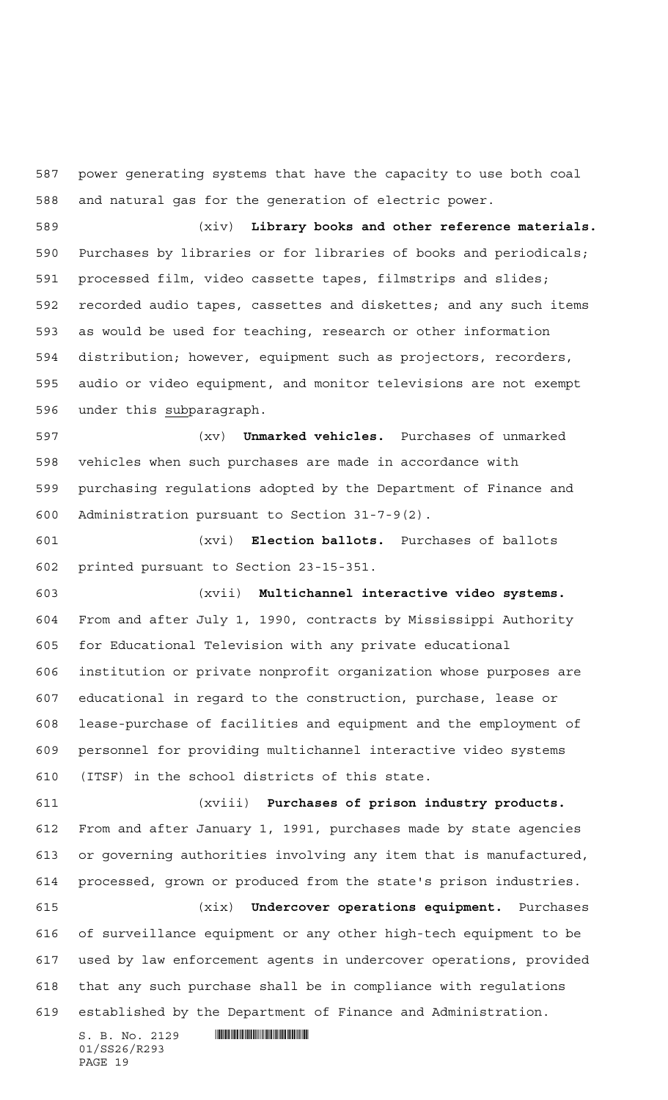power generating systems that have the capacity to use both coal and natural gas for the generation of electric power.

 (xiv) **Library books and other reference materials.** Purchases by libraries or for libraries of books and periodicals; processed film, video cassette tapes, filmstrips and slides; recorded audio tapes, cassettes and diskettes; and any such items as would be used for teaching, research or other information distribution; however, equipment such as projectors, recorders, audio or video equipment, and monitor televisions are not exempt under this subparagraph.

 (xv) **Unmarked vehicles.** Purchases of unmarked vehicles when such purchases are made in accordance with purchasing regulations adopted by the Department of Finance and Administration pursuant to Section 31-7-9(2).

 (xvi) **Election ballots.** Purchases of ballots printed pursuant to Section 23-15-351.

 (xvii) **Multichannel interactive video systems.** From and after July 1, 1990, contracts by Mississippi Authority for Educational Television with any private educational institution or private nonprofit organization whose purposes are educational in regard to the construction, purchase, lease or lease-purchase of facilities and equipment and the employment of personnel for providing multichannel interactive video systems (ITSF) in the school districts of this state.

 (xviii) **Purchases of prison industry products.** From and after January 1, 1991, purchases made by state agencies or governing authorities involving any item that is manufactured, processed, grown or produced from the state's prison industries.

 (xix) **Undercover operations equipment.** Purchases of surveillance equipment or any other high-tech equipment to be used by law enforcement agents in undercover operations, provided that any such purchase shall be in compliance with regulations established by the Department of Finance and Administration.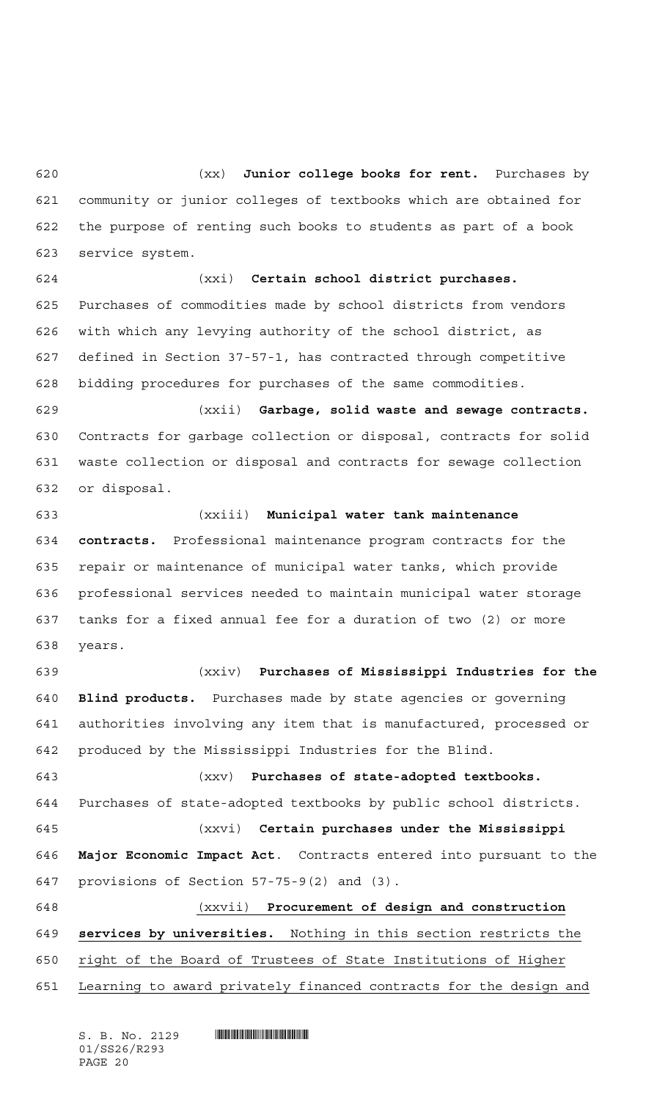(xx) **Junior college books for rent.** Purchases by community or junior colleges of textbooks which are obtained for the purpose of renting such books to students as part of a book service system.

 (xxi) **Certain school district purchases.** Purchases of commodities made by school districts from vendors with which any levying authority of the school district, as defined in Section 37-57-1, has contracted through competitive bidding procedures for purchases of the same commodities.

 (xxii) **Garbage, solid waste and sewage contracts.** Contracts for garbage collection or disposal, contracts for solid waste collection or disposal and contracts for sewage collection or disposal.

 (xxiii) **Municipal water tank maintenance contracts.** Professional maintenance program contracts for the repair or maintenance of municipal water tanks, which provide professional services needed to maintain municipal water storage tanks for a fixed annual fee for a duration of two (2) or more years.

 (xxiv) **Purchases of Mississippi Industries for the Blind products.** Purchases made by state agencies or governing authorities involving any item that is manufactured, processed or produced by the Mississippi Industries for the Blind.

 (xxv) **Purchases of state-adopted textbooks.** Purchases of state-adopted textbooks by public school districts.

 (xxvi) **Certain purchases under the Mississippi Major Economic Impact Act**. Contracts entered into pursuant to the provisions of Section 57-75-9(2) and (3).

 (xxvii) **Procurement of design and construction services by universities.** Nothing in this section restricts the right of the Board of Trustees of State Institutions of Higher

Learning to award privately financed contracts for the design and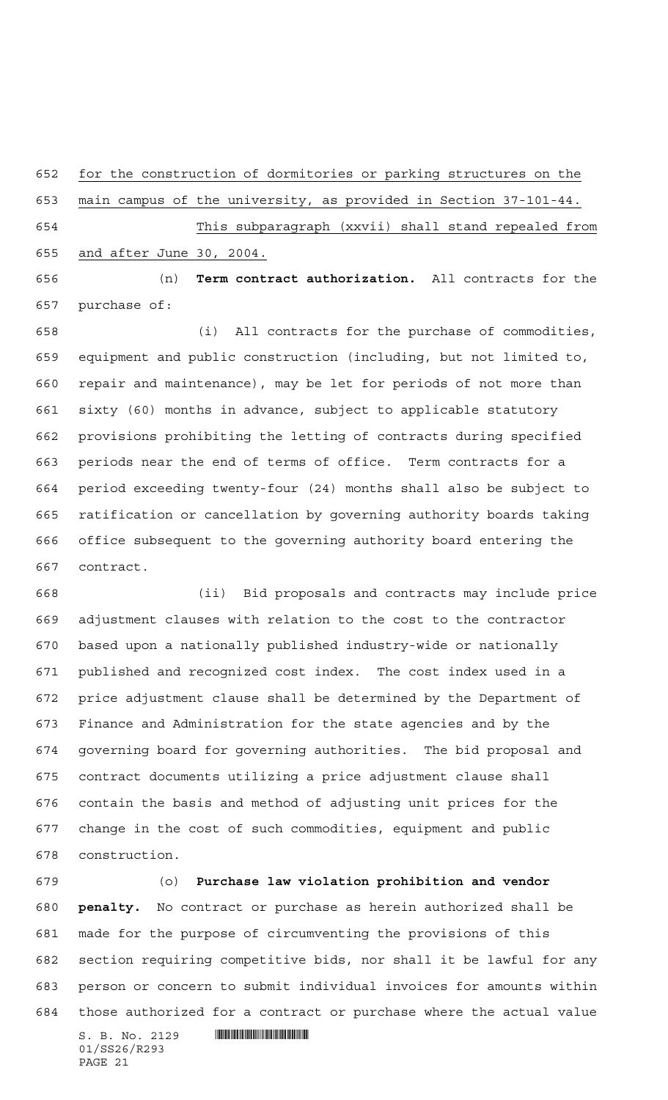for the construction of dormitories or parking structures on the

main campus of the university, as provided in Section 37-101-44.

 This subparagraph (xxvii) shall stand repealed from and after June 30, 2004.

 (n) **Term contract authorization.** All contracts for the purchase of:

 (i) All contracts for the purchase of commodities, equipment and public construction (including, but not limited to, repair and maintenance), may be let for periods of not more than sixty (60) months in advance, subject to applicable statutory provisions prohibiting the letting of contracts during specified periods near the end of terms of office. Term contracts for a period exceeding twenty-four (24) months shall also be subject to ratification or cancellation by governing authority boards taking office subsequent to the governing authority board entering the contract.

 (ii) Bid proposals and contracts may include price adjustment clauses with relation to the cost to the contractor based upon a nationally published industry-wide or nationally published and recognized cost index. The cost index used in a price adjustment clause shall be determined by the Department of Finance and Administration for the state agencies and by the governing board for governing authorities. The bid proposal and contract documents utilizing a price adjustment clause shall contain the basis and method of adjusting unit prices for the change in the cost of such commodities, equipment and public construction.

 (o) **Purchase law violation prohibition and vendor penalty.** No contract or purchase as herein authorized shall be made for the purpose of circumventing the provisions of this section requiring competitive bids, nor shall it be lawful for any person or concern to submit individual invoices for amounts within those authorized for a contract or purchase where the actual value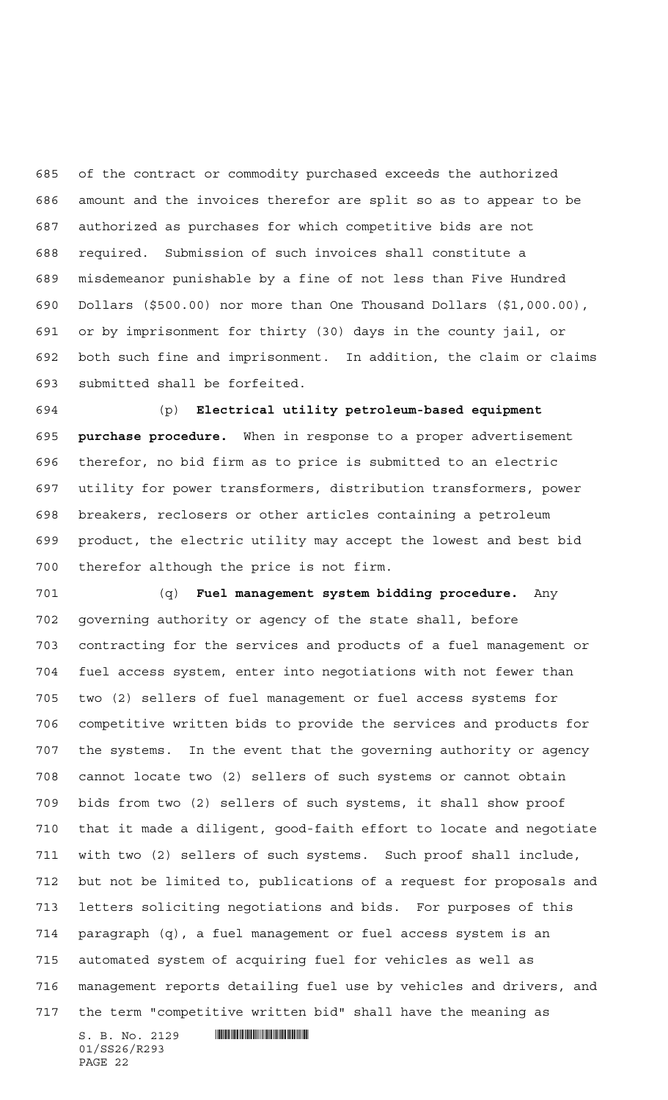of the contract or commodity purchased exceeds the authorized amount and the invoices therefor are split so as to appear to be authorized as purchases for which competitive bids are not required. Submission of such invoices shall constitute a misdemeanor punishable by a fine of not less than Five Hundred Dollars (\$500.00) nor more than One Thousand Dollars (\$1,000.00), or by imprisonment for thirty (30) days in the county jail, or both such fine and imprisonment. In addition, the claim or claims submitted shall be forfeited.

 (p) **Electrical utility petroleum-based equipment purchase procedure.** When in response to a proper advertisement therefor, no bid firm as to price is submitted to an electric utility for power transformers, distribution transformers, power breakers, reclosers or other articles containing a petroleum product, the electric utility may accept the lowest and best bid therefor although the price is not firm.

 (q) **Fuel management system bidding procedure.** Any governing authority or agency of the state shall, before contracting for the services and products of a fuel management or fuel access system, enter into negotiations with not fewer than two (2) sellers of fuel management or fuel access systems for competitive written bids to provide the services and products for the systems. In the event that the governing authority or agency cannot locate two (2) sellers of such systems or cannot obtain bids from two (2) sellers of such systems, it shall show proof that it made a diligent, good-faith effort to locate and negotiate with two (2) sellers of such systems. Such proof shall include, but not be limited to, publications of a request for proposals and letters soliciting negotiations and bids. For purposes of this paragraph (q), a fuel management or fuel access system is an automated system of acquiring fuel for vehicles as well as management reports detailing fuel use by vehicles and drivers, and the term "competitive written bid" shall have the meaning as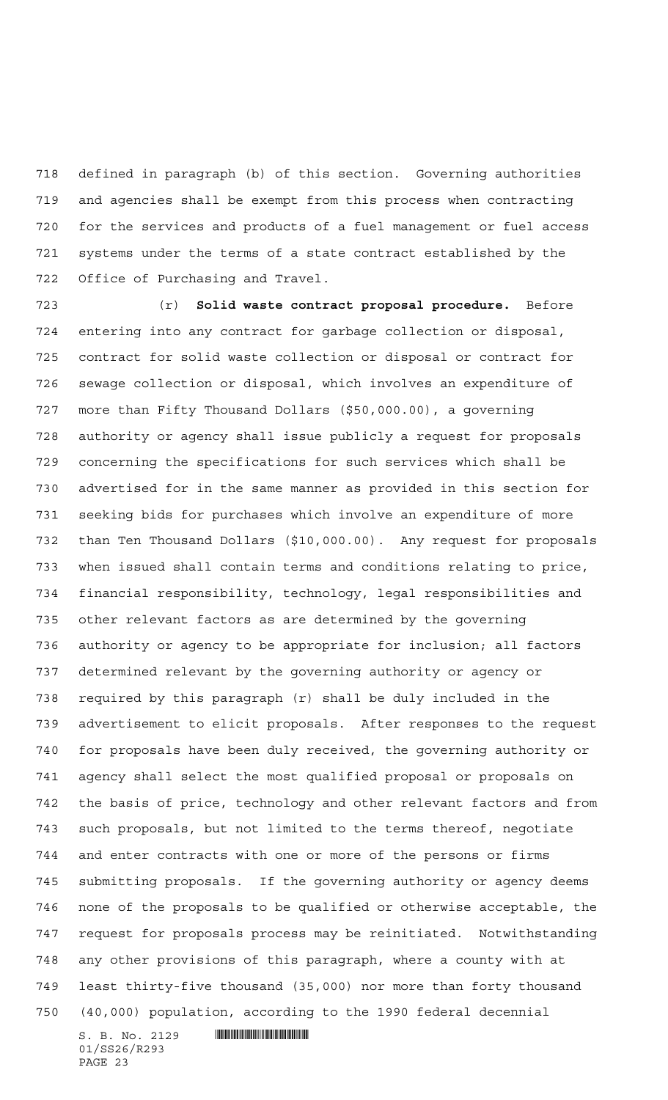defined in paragraph (b) of this section. Governing authorities and agencies shall be exempt from this process when contracting for the services and products of a fuel management or fuel access systems under the terms of a state contract established by the Office of Purchasing and Travel.

 (r) **Solid waste contract proposal procedure.** Before entering into any contract for garbage collection or disposal, contract for solid waste collection or disposal or contract for sewage collection or disposal, which involves an expenditure of more than Fifty Thousand Dollars (\$50,000.00), a governing authority or agency shall issue publicly a request for proposals concerning the specifications for such services which shall be advertised for in the same manner as provided in this section for seeking bids for purchases which involve an expenditure of more than Ten Thousand Dollars (\$10,000.00). Any request for proposals when issued shall contain terms and conditions relating to price, financial responsibility, technology, legal responsibilities and other relevant factors as are determined by the governing authority or agency to be appropriate for inclusion; all factors determined relevant by the governing authority or agency or required by this paragraph (r) shall be duly included in the advertisement to elicit proposals. After responses to the request for proposals have been duly received, the governing authority or agency shall select the most qualified proposal or proposals on the basis of price, technology and other relevant factors and from such proposals, but not limited to the terms thereof, negotiate and enter contracts with one or more of the persons or firms submitting proposals. If the governing authority or agency deems none of the proposals to be qualified or otherwise acceptable, the request for proposals process may be reinitiated. Notwithstanding any other provisions of this paragraph, where a county with at least thirty-five thousand (35,000) nor more than forty thousand (40,000) population, according to the 1990 federal decennial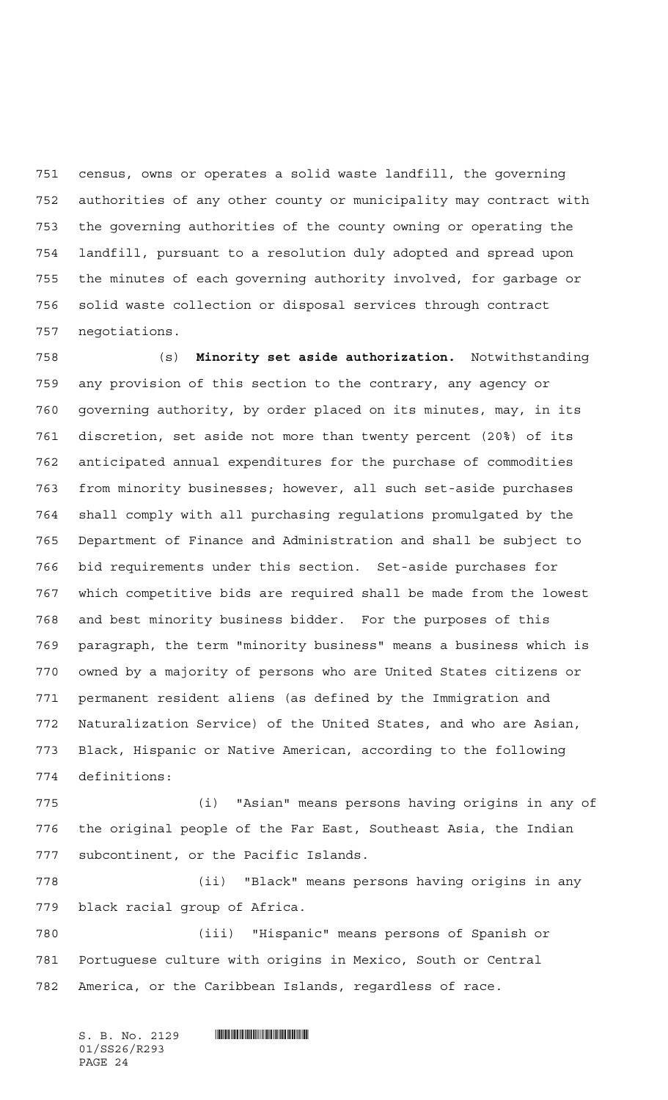census, owns or operates a solid waste landfill, the governing authorities of any other county or municipality may contract with the governing authorities of the county owning or operating the landfill, pursuant to a resolution duly adopted and spread upon the minutes of each governing authority involved, for garbage or solid waste collection or disposal services through contract negotiations.

 (s) **Minority set aside authorization.** Notwithstanding any provision of this section to the contrary, any agency or governing authority, by order placed on its minutes, may, in its discretion, set aside not more than twenty percent (20%) of its anticipated annual expenditures for the purchase of commodities from minority businesses; however, all such set-aside purchases shall comply with all purchasing regulations promulgated by the Department of Finance and Administration and shall be subject to bid requirements under this section. Set-aside purchases for which competitive bids are required shall be made from the lowest and best minority business bidder. For the purposes of this paragraph, the term "minority business" means a business which is owned by a majority of persons who are United States citizens or permanent resident aliens (as defined by the Immigration and Naturalization Service) of the United States, and who are Asian, Black, Hispanic or Native American, according to the following definitions:

 (i) "Asian" means persons having origins in any of the original people of the Far East, Southeast Asia, the Indian subcontinent, or the Pacific Islands.

 (ii) "Black" means persons having origins in any black racial group of Africa.

 (iii) "Hispanic" means persons of Spanish or Portuguese culture with origins in Mexico, South or Central America, or the Caribbean Islands, regardless of race.